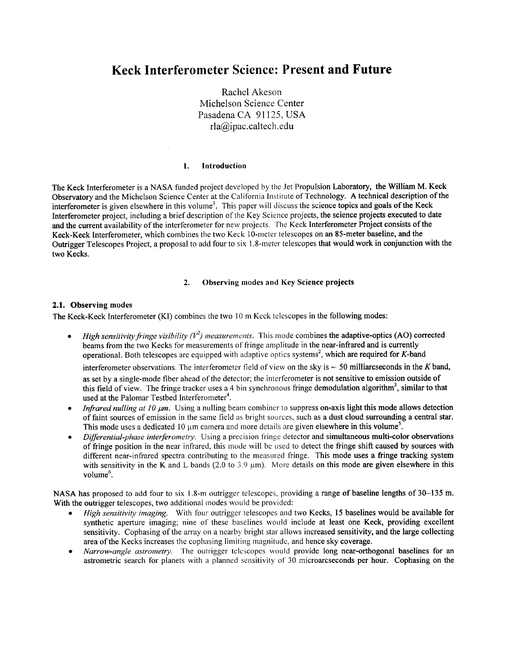# **Keck Interferometer Science: Present and Future**

Rachel Akeson Michelson Science Center Pasadena CA 91125, USA rla@ipac.caltech.edu

## **1.** Introduction

The Keck Interferometer is a NASA funded project developed by the Jet Propulsion Laboratory, the William M. Keck Observatory and the Michelson Science Center at the California Institute of Technology. A technical description of the interferometer is given elsewhere in this volume<sup>1</sup>. This paper will discuss the science topics and goals of the Keck Interferometer project, including a brief description of the Key Science projects, the science projects executed to date and the current availability of the interferometer for new projects. The Keck Interferometer Project consists of the Keck-Keck Interferometer, which combines the two Keck 10-meter telescopes on an 85-meter baseline, and the Outrigger Telescopes Project, a proposal to add four to six 1.8-meter telescopes that would work in conjunction with the two Kecks.

#### **2.** Observing modes and Key Science projects

## 2.1. Observing modes

The Keck-Keck Interferometer (KI) combines the two 10 m Keck telescopes in the following modes:

*High sensitivity fringe visibility (* $V^2$ *) measurements.* This mode combines the adaptive-optics (AO) corrected  $\bullet$ beams from the two Kecks for measurements of fringe amplitude in the near-infiared and is currently operational. Both telescopes are equipped with adaptive optics systems<sup>2</sup>, which are required for  $K$ -band

interferometer observations. The interferometer field of view on the sky is  $\sim$  50 milliarcseconds in the K band, as set by a single-mode fiber ahead of the detector; the interferometer is not sensitive to emission outside of this field of view. The fringe tracker uses a 4 bin synchronous fringe demodulation algorithm<sup>3</sup>, similar to that used at the Palomar Testbed Interferometer<sup>4</sup>.

- *Infrared nulling at 10*  $\mu$ *m.* Using a nulling beam combiner to suppress on-axis light this mode allows detection  $\bullet$ of faint sources of emission in the same field as bright sources, such as a dust cloud surrounding a central star. This mode uses a dedicated 10  $\mu$ m camera and more details are given elsewhere in this volume<sup>5</sup>.
- *Differential-phase interferometry.* Using a precision fringe detector and simultaneous multi-color observations of fringe position in the near infrared, this mode will be used to detect the fringe shift caused by sources with different near-infrared spectra contributing to the measured fringe. This mode uses a fringe tracking system with sensitivity in the K and L bands (2.0 to 3.9  $\mu$ m). More details on this mode are given elsewhere in this volume<sup>6</sup>.

NASA has proposed to add four to six 1.8-m outrigger telescopes, providing a range of baseline lengths of 30–135 m. With the outrigger telescopes, two additional modes would be provided:

- *High sensitivity imaging.* With four outrigger telescopes and two Kecks, 15 baselines would be available for synthetic aperture imaging; nine of these baselines would include at least one Keck, providing excellent sensitivity. Cophasing of the array on a nearby bright star allows increased sensitivity, and the large collecting area of the Kecks increases the cophasing limiting magnitude, and hence sky coverage.
- *Narrow-angle astrometry.* The outrigger telescopes would provide long near-orthogonal baselines for an astrometric search for planets with a planned sensitivity of 30 microarcseconds per hour. Cophasing on the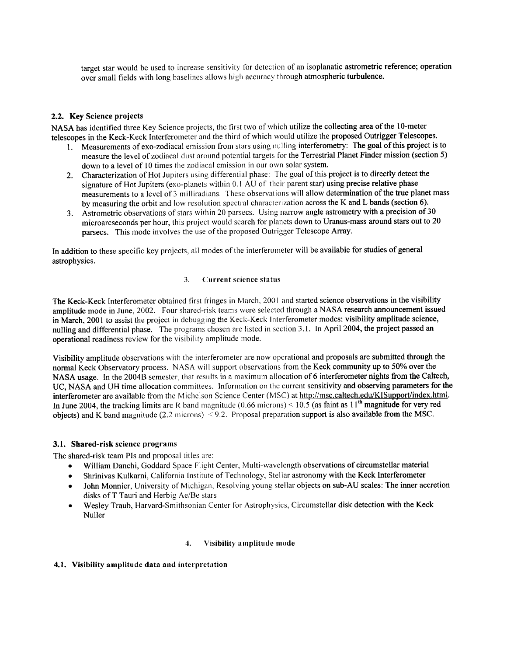target star would be used to increase sensitivity for detection of an isoplanatic astrometric reference; operation over small fields with long baselines allows high accuracy through atmospheric turbulence.

## 2.2. Key Science projects

NASA has identified three Key Science projects, the first two of which utilize the collecting area of the 10-meter telescopes in the Keck-Keck Interferometer and the third of which would utilize the proposed Outrigger Telescopes.

- 1. Measurements of exo-zodiacal emission from stars using nulling interferometry: The goal of this project is to measure the level of zodiacal dust around potential targets for the Terrestrial Planet Finder mission (section 5) down to a level of 10 times the zodiacal emission in our own solar system.
- 2. Characterization of Hot Jupiters using differential phase: The goal of this project is to directly detect the signature of Hot Jupiters (exo-planets within 0.1 AU of their parent star) using precise relative phase measurements to a level of 3 milliradians. These observations will allow determination of the true planet mass by measuring the orbit and low resolution spectral characterization across the K and L bands (section 6).
- **3.** Astrometric observations of stars within 20 parsecs. Using narrow angle astrometry with a precision of 30 microarcseconds per hour, this project would search for planets down to Uranus-mass around stars out to 20 parsecs. This node involves the use of the proposed Outrigger Telescope Array.

In addition to these specific key projects, all modes of the interferometer will be available for studies of general astrophysics.

## *3.* CIurrent science status

The Keck-Keck Interferometer obtained first fringes in March, 2001 and started science observations in the visibility amplitude mode in June, 2002. Four shared-risk teams were selected through a NASA research announcement issued in March, 2001 to assist the project in debugging the Keck-Keck Interferometer modes: visibility amplitude science, nulling and differential phase. The programs chosen are listed in section 3.1. In April 2004, the project passed an operational readiness review for the visibility amplitude mode.

Visibility amplitude observations with the interferometer are now operational and proposals are submitted through the normal Keck Observatory process. NASA will support observations from the Keck community up to 50% over the NASA usage. In the 2004B semester, that results in a maximum allocation of 6 interferometer nights from the Caltech, UC, NASA and UH time allocation committees. Information on the current sensitivity and observing parameters for the interferometer are available from the Michelson Science Center (MSC) at http://msc.caltech.edu/KISupport/index.html. In June 2004, the tracking limits are R band magnitude  $(0.66$  microns)  $\leq 10.5$  (as faint as  $11<sup>th</sup>$  magnitude for very red objects) and K band magnitude (2.2 microns)  $\leq$  9.2. Proposal preparation support is also available from the MSC.

## 3.1. Shared-risk science programs

The shared-risk team PIS and proposal titles are:

- William Danchi, Goddard Space Flight Center, Multi-wavelength observations of circumstellar material
- Shrinivas Kulkarni, California Institute of Technology, Stellar astronomy with the Keck Interferometer  $\bullet$
- John Monnier, University of Michigan, Resolving young stellar objects on sub-AU scales: The inner accretion  $\blacksquare$ disks of T Tauri and Herbig Ae/Be stars
- Wesley Traub, Harvard-Smithsonian Center for Astrophysics, Circumstellar disk detection with the Keck  $\bullet$ Nuller

## **4.** Visibility amplitude mode

## 4.1. Visibility amplitude **data** and interpretation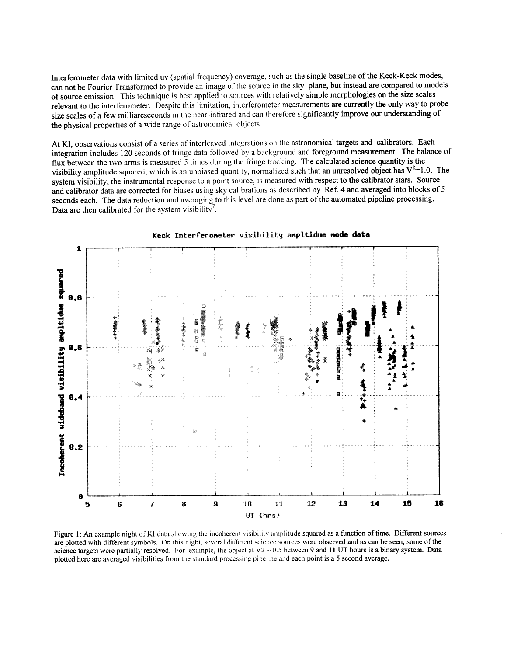Interferometer data with limited uv (spatial frequency) coverage, such as the single baseline of the Keck-Keck modes, can not be Fourier Transformed to provide an image of the source in the sky plane, but instead are compared to models of source emission. This technique is best applied to sources with relatively simple morphologies on the size scales relevant to the interferometer. Despite this limitation, interferometer measurements are currently the only way to probe size scales of a few milliarcseconds in the near-infrared and can therefore significantly improve our understanding of the physical properties of a wide range of astronomical objects.

At KI, observations consist of a series of interleaved integrations on the astronomical targets and calibrators. Each integration includes 120 seconds of fringe data followed by a background and foreground measurement. The balance of flux between the two arms is measured 5 times during the fringe tracking. The calculated science quantity is the visibility amplitude squared, which is an unbiased quantity, normalized such that an unresolved object has  $V^2=1.0$ . The system visibility, the instrumental response to a point source, is measured with respect to the calibrator stars. Source and calibrator data are corrected for biases using sky calibrations as described by Ref. 4 and averaged into blocks of 5 seconds each. The data reduction and averaging to this level are done as part of the automated pipeline processing. Data are then calibrated for the system visibility<sup>7</sup>.



**Keck Interferoneter visibilitg anpltidue data** 

Figure 1: An example night of KI data showing the incoherent visibility amplitude squared as a function of time. Different sources are plotted with different symbols. On this night, several different science sources were observed and as can be seen, some of the science targets were partially resolved. For example, the object at V2 ~ 0.5 between 9 and 11 UT hours is a binary system. Data plotted here are averaged visibilities from the standard processing pipeline and each point is a 5 second average.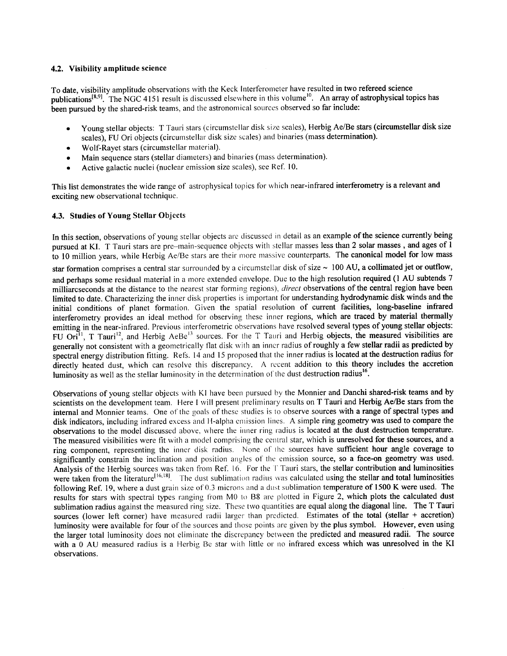## 4.2. **Visibility** amplitude science

To date, visibility amplitude observations with the Keck Interferometer have resulted in two refereed science publications<sup>[8,9]</sup>. The NGC 4151 result is discussed elsewhere in this volume<sup>10</sup>. An array of astrophysical topics has been pursued by the shared-risk teams, and the astronomical sources observed so far include:

- Young stellar objects: T Tauri stars (circumstellar disk size scales), Herbig Ae/Be stars (circumstellar disk size  $\bullet$ scales), FU Ori objects (circumstellar disk size scales) and binaries (mass determination).
- Wolf-Rayet stars (circumstellar material).  $\bullet$
- Main sequence stars (stellar diameters) and binaries (mass determination).
- Active galactic nuclei (nuclear emission size scales), see Ref. 10.

This list demonstrates the wide range of astrophysical topics for which near-infrared interferometry is a relevant and exciting new observational technique.

## 4.3. Studies of Young Stellar Objects

In this section, observations of young stellar objects are discussed in detail as an example of the science currently being pursued at KI. T Tauri stars are pre-main-sequence objects witli stellar masses less than **2** solar masses, and ages of 1 to 10 million years, while Herbig Ae/Be stars are their more massive counterparts. The canonical model for low mass

star formation comprises a central star surrounded by a circumstellar disk of size  $\sim 100$  AU, a collimated jet or outflow, and perhaps some residual material in a more extended envelope. Due to the high resolution required (1 AU subtends 7 milliarcseconds at the distance to the nearest star forming regions), *direct* observations of the central region have been limited to date. Characterizing the inner disk properties is important for understanding hydrodynamic disk winds and the initial conditions of planet formation. Given the spatial resolution of current facilities, long-baseline infrared interferometry provides an ideal method for observing these inner regions, which are traced by material thermally emitting in the near-infrared. Previous interferometric observations have resolved several types of young stellar objects: FU Ori<sup>11</sup>, T Tauri<sup>12</sup>, and Herbig AeBe<sup>13</sup> sources. For the T Tauri and Herbig objects, the measured visibilities are generally not consistent with a geometrically flat disk with an inner radius of roughly a few stellar radii as predicted by spectral energy distribution fitting. Refs. 14 and 15 proposed that the inner radius is located at the destruction radius for directly heated dust, which can resolve this discrepancy. A recent addition to this theory includes the accretion luminosity as well as the stellar luminosity in the determination of the dust destruction radius<sup>16</sup>.

Observations of young stellar objects with K1 have been pursued by the Monnier and Danchi shared-risk teams and by scientists on the development team. Here I will present preliminary results on T Tauri and Herbig Ae/Be stars from the internal and Monnier teams. One of the goals of these studies is to observe sources with a range of spectral types and disk indicators, including infrared excess and H-alpha emission lines. A simple ring geometry was used to compare the observations to the model discussed above, where the inner ring radius is located at the dust destruction temperature. The measured visibilities were fit with a model comprising the central star, which is unresolved for these sources, and a ring component, representing the inner disk radius. None of the sources have sufficient hour angle coverage to significantly constrain the inclination and position angles of the emission source, so a face-on geometry was used. Analysis of the Herbig sources was taken from Ref. 16. For the T Tauri stars, the stellar contribution and luminosities were taken from the literature<sup>[16,18]</sup>. The dust sublimation radius was calculated using the stellar and total luminosities following Ref. 19, where a dust grain size of 0.3 microns and a dust sublimation temperature of 1500 K were used. The results for stars with spectral types ranging from M0 to B8 are plotted in Figure 2, which plots the calculated dust sublimation radius against the measured ring size. These two quantities are equal along the diagonal line. The T Tauri sources (lower left corner) have measured radii larger than predicted. Estimates of the total (stellar + accretion) luminosity were available for four of the sources and those points are given by the plus symbol. However, even using the larger total luminosity does not eliminate the discrepancy between the predicted and measured radii. The source with a 0 AU measured radius is a Herbig Be star with little or no infrared excess which was unresolved in the KI observations.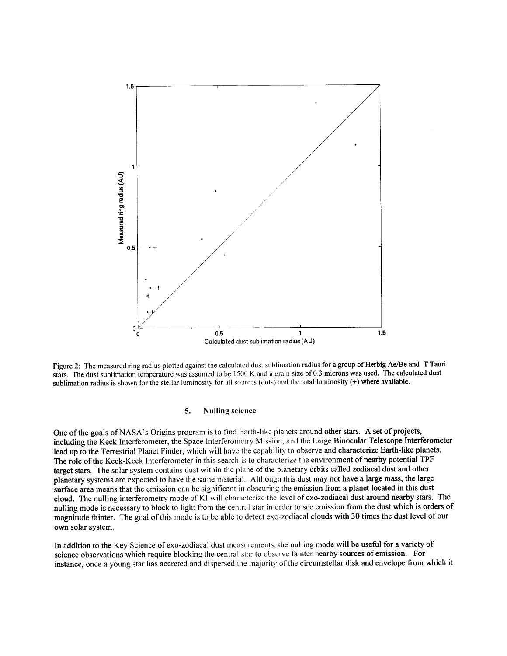

Figure 2: The measured ring radius plotted against the calculated dust sublimation radius for a group of Herbig Ae/Be and T Tauri stars. The dust sublimation temperature was assumed to be 1500 K and a grain size of 0.3 microns was used. The calculated dust sublimation radius is shown for the stellar luminosity for all sources (dots) and the total luminosity (+) where available.

#### **5.** Nulling science

One of the goals of NASA's Origins program is to find Earth-like planets around other stars. A set of projects, including the Keck Interferometer, the Space Interferometry Mission, and the Large Binocular Telescope Interferometer lead up to the Terrestrial Planet Finder, which will have the capability to observe and characterize Earth-like planets. The role of the Keck-Keck Interferometer in this search is to characterize the environment of nearby potential TPF target stars. The solar system contains dust within the plane of the planetary orbits called zodiacal dust and other planetary systems are expected to have the same material. Although this dust may not have a large mass, the large surface area means that the emission can be significant in obscuring the emission from a planet located in this dust cloud. The nulling interferometry mode of KI will characterize the level of exo-zodiacal dust around nearby stars. The nulling mode is necessary to block to light from the central star in order to see emission from the dust which is orders of magnitude fainter. The goal of this mode is to be able to detect exo-zodiacal clouds with **30** times the dust level of our own solar system.

In addition to the Key Science of exo-zodiacal dust measurements, the nulling mode will be useful for a variety of science observations which require blocking the central star to observe fainter nearby sources of emission. For instance, once a young star has accreted and dispersed the majority of the circumstellar disk and envelope from which it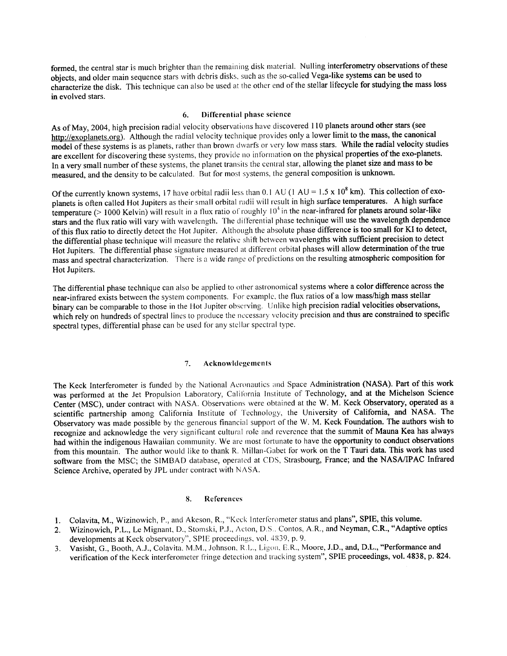formed, the central star is much brighter than the remaining disk material. Nulling interferometry observations of these objects, and older main sequence stars with debris disks. such as the so-called Vega-like systems can be used to characterize the disk. This technique can also be used at the other end of the stellar lifecycle for studying the mass loss in evolved stars.

#### 6. Differential phase science

As of May, 2004, high precision radial velocity observations have discovered 110 planets around other stars (see http://exoplanets.org). Although the radial velocity technique provides only a lower limit to the mass, the canonical model of these systems is as planets, rather than brown dwarfs or very low mass stars. While the radial velocity studies are excellent for discovering these systems, they provide no information on the physical properties of the exo-planets. In a very small number of these systems, the planet transits the central star, allowing the planet size and mass to be measured, and the density to be calculated. But for most systems, the general composition is unknown.

Of the currently known systems, 17 have orbital radii less than 0.1 AU (1 AU =  $1.5 \times 10^8$  km). This collection of exoplanets is often called Hot Jupiters as their small orbital radii will result in high surface temperatures. A high surface temperature ( $> 1000$  Kelvin) will result in a flux ratio of roughly  $10<sup>4</sup>$  in the near-infrared for planets around solar-like stars and the flux ratio will vary with wavelength. The differential phase technique will use the wavelength dependence of this flux ratio to directly detect the Hot Jupiter. Although the absolute phase difference is too small for KI to detect, the differential phase technique will measure the relative shift between wavelengths with sufficient precision to detect Hot Jupiters. The differential phase signature measured at different orbital phases will allow determination of the true mass and spectral characterization. There is a wide range of predictions on the resulting atmospheric composition for Hot Jupiters.

The differential phase technique can also be applied to other astronomical systems where a color difference across the near-infrared exists between the system components. For example, the flux ratios of a low mass/high mass stellar binary can be comparable to those in the Hot Jupiter observing. Unlike high precision radial velocities observations, which rely on hundreds of spectral lines to produce the necessary velocity precision and thus are constrained to specific spectral types, differential phase can be used for any stellar spectral type.

#### 7. Acknowldegements

The Keck Interferometer is funded by the National Aeronautics and Space Administration (NASA). Part of this work was performed at the Jet Propulsion Laboratory, California Institute of Technology, and at the Michelson Science Center (MSC), under contract with NASA. Observations were obtained at the W. M. Keck Observatory, operated as a scientific partnership among California Institute of Technology, the University of California, and NASA. The Observatory was made possible by the generous financial support of the W. M. Keck Foundation. The authors wish to recognize and acknowledge the very significant cultural role and reverence that the summit of Mauna Kea has always had within the indigenous Hawaiian community. We are most fortunate to have the opportunity to conduct observations from this mountain. The author would like to thank R. Millan-Gabet for work on the T Tauri data. This work has used software from the MSC; the SIMBAD database, operated at CDS, Strasbourg, France; and the NASA/IPAC Infrared Science Archive, operated by JPL under contract with NASA.

#### **8.** References

- 1. Colavita, M., Wizinowich, P., and Akeson, R., "Keck Interlerometer status and plans", SPIE, this volume.
- 2. Wizinowich, P.L., Le Mignant, D., Stomski, P.J., Acton, D.S., Contos, A.R., and Neyman, C.R., "Adaptive optics developments at Keck observatory", SPIE proceedings, vol. 4839, p. 9.
- 3. Vasisht, G., Booth, A.J., Colavita. M.M., Johnson, R.L., Ligon, E.R., Moore, J.D., and, D.L., "Performance and verification of the Keck interferometer fringe detection and tracking system", SPIE proceedings, vol. 4838, p. 824.